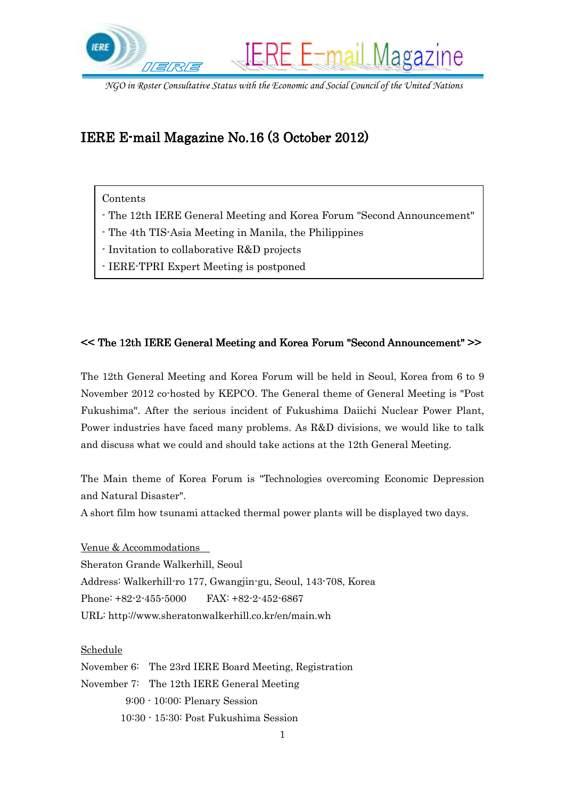

# IERE E-mail Magazine No.16 $(3$ October 2012)

## Contents

- The 12th IERE General Meeting and Korea Forum "Second Announcement"
- The 4th TIS-Asia Meeting in Manila, the Philippines
- Invitation to collaborative R&D projects
- IERE-TPRI Expert Meeting is postponed

## $<<$  The 12th IERE General Meeting and Korea Forum "Second Announcement"  $>>$

The 12th General Meeting and Korea Forum will be held in Seoul, Korea from 6 to 9 November 2012 co-hosted by KEPCO. The General theme of General Meeting is "Post Fukushima". After the serious incident of Fukushima Daiichi Nuclear Power Plant, Power industries have faced many problems. As R&D divisions, we would like to talk and discuss what we could and should take actions at the 12th General Meeting.

The Main theme of Korea Forum is "Technologies overcoming Economic Depression and Natural Disaster".

A short film how tsunami attacked thermal power plants will be displayed two days.

Venue & Accommodations Sheraton Grande Walkerhill, Seoul Address: Walkerhill-ro 177, Gwangjin-gu, Seoul, 143-708, Korea Phone: +82-2-455-5000 FAX: +82-2-452-6867 URL: http://www.sheratonwalkerhill.co.kr/en/main.wh

#### Schedule

November 6: The 23rd IERE Board Meeting, Registration November 7: The 12th IERE General Meeting 9:00 - 10:00: Plenary Session 10:30 - 15:30: Post Fukushima Session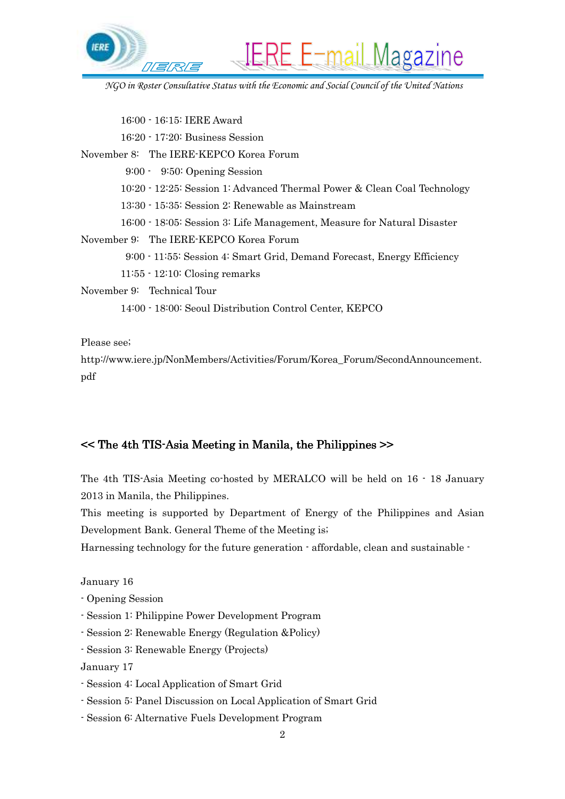

 16:00 - 16:15: IERE Award 16:20 - 17:20: Business Session November 8: The IERE-KEPCO Korea Forum 9:00 - 9:50: Opening Session 10:20 - 12:25: Session 1: Advanced Thermal Power & Clean Coal Technology 13:30 - 15:35: Session 2: Renewable as Mainstream 16:00 - 18:05: Session 3: Life Management, Measure for Natural Disaster November 9: The IERE-KEPCO Korea Forum 9:00 - 11:55: Session 4: Smart Grid, Demand Forecast, Energy Efficiency 11:55 - 12:10: Closing remarks November 9: Technical Tour 14:00 - 18:00: Seoul Distribution Control Center, KEPCO

Please see;

http://www.iere.jp/NonMembers/Activities/Forum/Korea\_Forum/SecondAnnouncement. pdf

#### $\leq$  The 4th TIS-Asia Meeting in Manila, the Philippines  $\geq$

The 4th TIS-Asia Meeting co-hosted by MERALCO will be held on 16 - 18 January 2013 in Manila, the Philippines.

This meeting is supported by Department of Energy of the Philippines and Asian Development Bank. General Theme of the Meeting is;

Harnessing technology for the future generation  $\cdot$  affordable, clean and sustainable  $\cdot$ 

January 16

- Opening Session
- Session 1: Philippine Power Development Program
- Session 2: Renewable Energy (Regulation &Policy)
- Session 3: Renewable Energy (Projects)

January 17

- Session 4: Local Application of Smart Grid
- Session 5: Panel Discussion on Local Application of Smart Grid
- Session 6: Alternative Fuels Development Program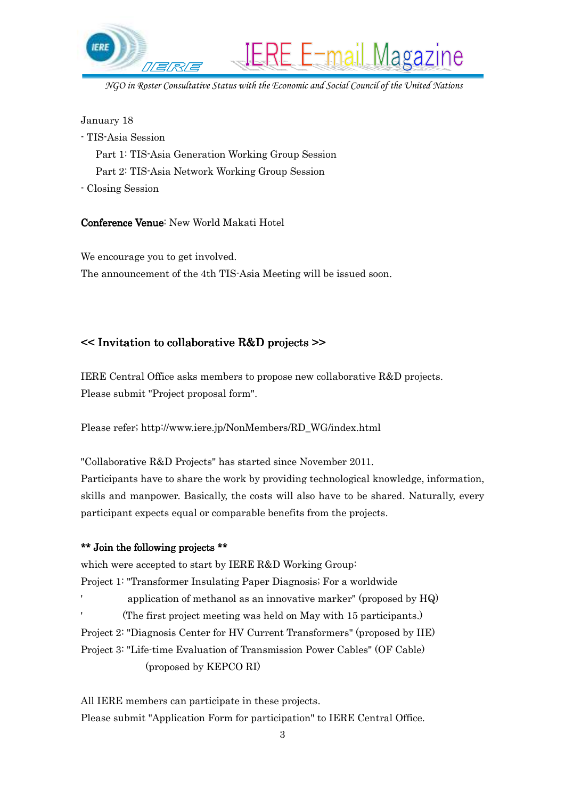

January 18

- TIS-Asia Session

Part 1: TIS-Asia Generation Working Group Session

Part 2: TIS-Asia Network Working Group Session

- Closing Session

Conference Venue: New World Makati Hotel

We encourage you to get involved. The announcement of the 4th TIS-Asia Meeting will be issued soon.

## << Invitation to collaborative R&D projects >>

IERE Central Office asks members to propose new collaborative R&D projects. Please submit "Project proposal form".

Please refer; http://www.iere.jp/NonMembers/RD\_WG/index.html

"Collaborative R&D Projects" has started since November 2011.

Participants have to share the work by providing technological knowledge, information, skills and manpower. Basically, the costs will also have to be shared. Naturally, every participant expects equal or comparable benefits from the projects.

#### \*\* Join the following projects \*\*

which were accepted to start by IERE R&D Working Group: Project 1: "Transformer Insulating Paper Diagnosis; For a worldwide ' application of methanol as an innovative marker" (proposed by HQ) ' (The first project meeting was held on May with 15 participants.) Project 2: "Diagnosis Center for HV Current Transformers" (proposed by IIE) Project 3: "Life-time Evaluation of Transmission Power Cables" (OF Cable) (proposed by KEPCO RI)

All IERE members can participate in these projects. Please submit "Application Form for participation" to IERE Central Office.